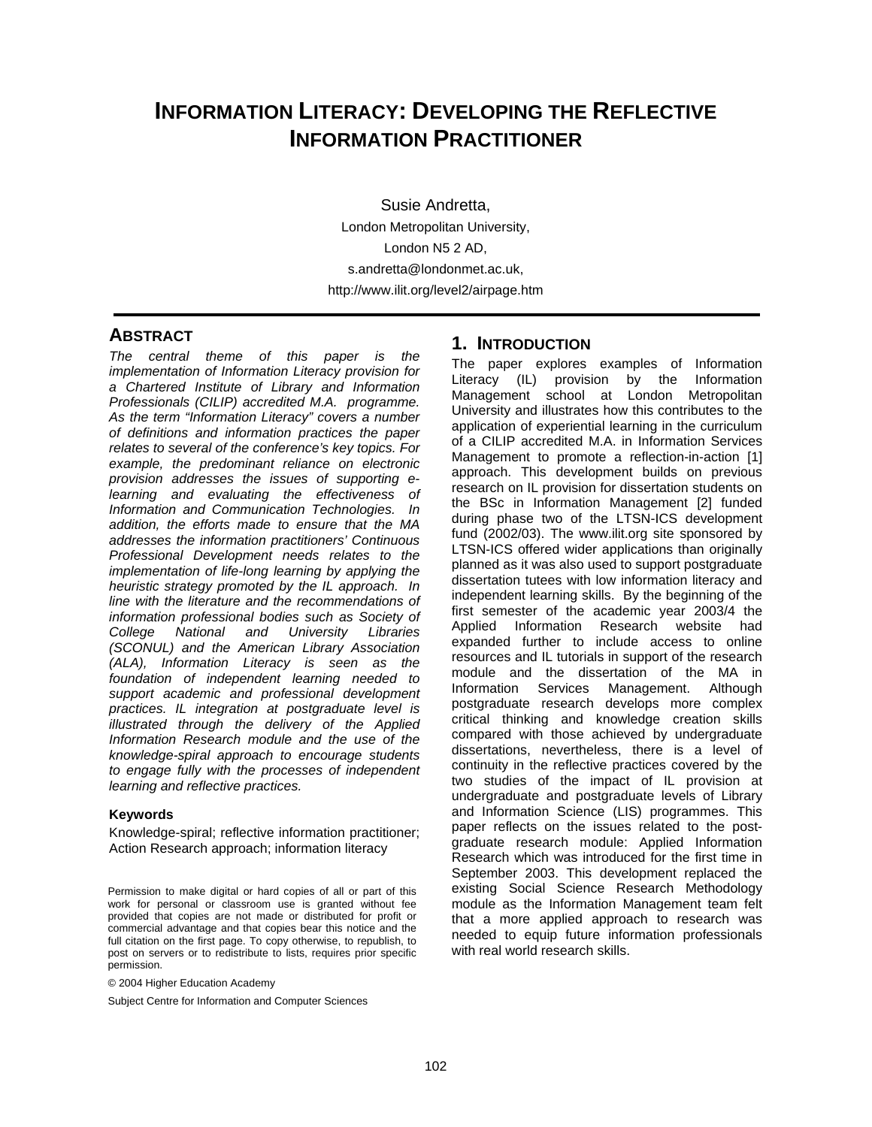# **INFORMATION LITERACY: DEVELOPING THE REFLECTIVE INFORMATION PRACTITIONER**

Susie Andretta, London Metropolitan University, London N5 2 AD, s.andretta@londonmet.ac.uk, http://www.ilit.org/level2/airpage.htm

#### **ABSTRACT**

*The central theme of this paper is the implementation of Information Literacy provision for a Chartered Institute of Library and Information Professionals (CILIP) accredited M.A. programme. As the term "Information Literacy" covers a number of definitions and information practices the paper relates to several of the conference's key topics. For example, the predominant reliance on electronic provision addresses the issues of supporting elearning and evaluating the effectiveness of Information and Communication Technologies. In addition, the efforts made to ensure that the MA addresses the information practitioners' Continuous Professional Development needs relates to the implementation of life-long learning by applying the heuristic strategy promoted by the IL approach. In line with the literature and the recommendations of information professional bodies such as Society of College National and University Libraries (SCONUL) and the American Library Association (ALA), Information Literacy is seen as the foundation of independent learning needed to support academic and professional development practices. IL integration at postgraduate level is illustrated through the delivery of the Applied Information Research module and the use of the knowledge-spiral approach to encourage students to engage fully with the processes of independent learning and reflective practices.* 

#### **Keywords**

Knowledge-spiral; reflective information practitioner; Action Research approach; information literacy

© 2004 Higher Education Academy

Subject Centre for Information and Computer Sciences

# **1. INTRODUCTION**

The paper explores examples of Information Literacy (IL) provision by the Information Management school at London Metropolitan University and illustrates how this contributes to the application of experiential learning in the curriculum of a CILIP accredited M.A. in Information Services Management to promote a reflection-in-action [1] approach. This development builds on previous research on IL provision for dissertation students on the BSc in Information Management [2] funded during phase two of the LTSN-ICS development fund (2002/03). The www.ilit.org site sponsored by LTSN-ICS offered wider applications than originally planned as it was also used to support postgraduate dissertation tutees with low information literacy and independent learning skills. By the beginning of the first semester of the academic year 2003/4 the Applied Information Research website had expanded further to include access to online resources and IL tutorials in support of the research module and the dissertation of the MA in Information Services Management. Although postgraduate research develops more complex critical thinking and knowledge creation skills compared with those achieved by undergraduate dissertations, nevertheless, there is a level of continuity in the reflective practices covered by the two studies of the impact of IL provision at undergraduate and postgraduate levels of Library and Information Science (LIS) programmes. This paper reflects on the issues related to the postgraduate research module: Applied Information Research which was introduced for the first time in September 2003. This development replaced the existing Social Science Research Methodology module as the Information Management team felt that a more applied approach to research was needed to equip future information professionals with real world research skills.

Permission to make digital or hard copies of all or part of this work for personal or classroom use is granted without fee provided that copies are not made or distributed for profit or commercial advantage and that copies bear this notice and the full citation on the first page. To copy otherwise, to republish, to post on servers or to redistribute to lists, requires prior specific permission.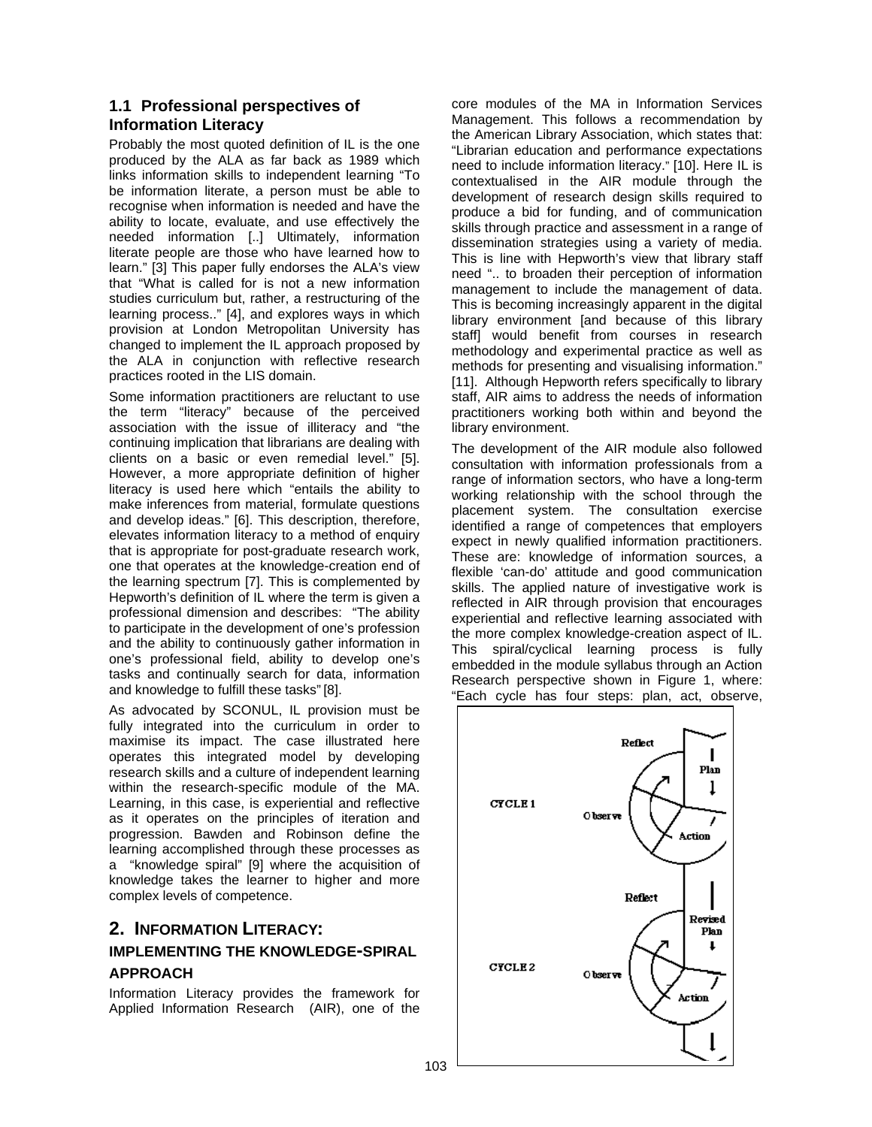## **1.1 Professional perspectives of Information Literacy**

Probably the most quoted definition of IL is the one produced by the ALA as far back as 1989 which links information skills to independent learning "To be information literate, a person must be able to recognise when information is needed and have the ability to locate, evaluate, and use effectively the needed information [..] Ultimately, information literate people are those who have learned how to learn." [3] This paper fully endorses the ALA's view that "What is called for is not a new information studies curriculum but, rather, a restructuring of the learning process.." [4], and explores ways in which provision at London Metropolitan University has changed to implement the IL approach proposed by the ALA in conjunction with reflective research practices rooted in the LIS domain.

Some information practitioners are reluctant to use the term "literacy" because of the perceived association with the issue of illiteracy and "the continuing implication that librarians are dealing with clients on a basic or even remedial level." [5]. However, a more appropriate definition of higher literacy is used here which "entails the ability to make inferences from material, formulate questions and develop ideas." [6]. This description, therefore, elevates information literacy to a method of enquiry that is appropriate for post-graduate research work, one that operates at the knowledge-creation end of the learning spectrum [7]. This is complemented by Hepworth's definition of IL where the term is given a professional dimension and describes: "The ability to participate in the development of one's profession and the ability to continuously gather information in one's professional field, ability to develop one's tasks and continually search for data, information and knowledge to fulfill these tasks" [8].

As advocated by SCONUL, IL provision must be fully integrated into the curriculum in order to maximise its impact. The case illustrated here operates this integrated model by developing research skills and a culture of independent learning within the research-specific module of the MA. Learning, in this case, is experiential and reflective as it operates on the principles of iteration and progression. Bawden and Robinson define the learning accomplished through these processes as a "knowledge spiral" [9] where the acquisition of knowledge takes the learner to higher and more complex levels of competence.

# **2. INFORMATION LITERACY: IMPLEMENTING THE KNOWLEDGE-SPIRAL**

### **APPROACH**

Information Literacy provides the framework for Applied Information Research (AIR), one of the

core modules of the MA in Information Services Management. This follows a recommendation by the American Library Association, which states that: "Librarian education and performance expectations need to include information literacy." [10]. Here IL is contextualised in the AIR module through the development of research design skills required to produce a bid for funding, and of communication skills through practice and assessment in a range of dissemination strategies using a variety of media. This is line with Hepworth's view that library staff need ".. to broaden their perception of information management to include the management of data. This is becoming increasingly apparent in the digital library environment [and because of this library staff] would benefit from courses in research methodology and experimental practice as well as methods for presenting and visualising information." [11]. Although Hepworth refers specifically to library staff, AIR aims to address the needs of information practitioners working both within and beyond the library environment.

The development of the AIR module also followed consultation with information professionals from a range of information sectors, who have a long-term working relationship with the school through the placement system. The consultation exercise identified a range of competences that employers expect in newly qualified information practitioners. These are: knowledge of information sources, a flexible 'can-do' attitude and good communication skills. The applied nature of investigative work is reflected in AIR through provision that encourages experiential and reflective learning associated with the more complex knowledge-creation aspect of IL. This spiral/cyclical learning process is fully embedded in the module syllabus through an Action Research perspective shown in Figure 1, where: "Each cycle has four steps: plan, act, observe,

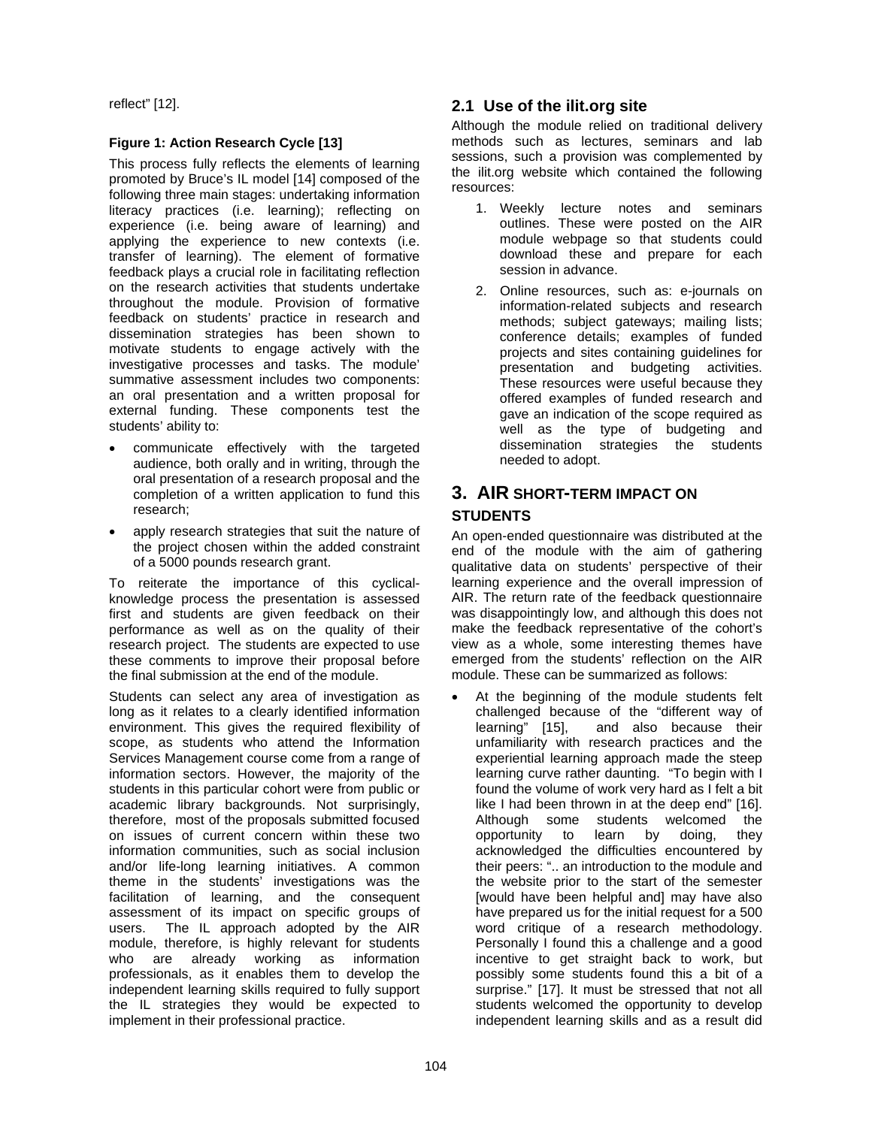reflect" [12].

#### **Figure 1: Action Research Cycle [13]**

This process fully reflects the elements of learning promoted by Bruce's IL model [14] composed of the following three main stages: undertaking information literacy practices (i.e. learning); reflecting on experience (i.e. being aware of learning) and applying the experience to new contexts (i.e. transfer of learning). The element of formative feedback plays a crucial role in facilitating reflection on the research activities that students undertake throughout the module. Provision of formative feedback on students' practice in research and dissemination strategies has been shown to motivate students to engage actively with the investigative processes and tasks. The module' summative assessment includes two components: an oral presentation and a written proposal for external funding. These components test the students' ability to:

- communicate effectively with the targeted audience, both orally and in writing, through the oral presentation of a research proposal and the completion of a written application to fund this research;
- apply research strategies that suit the nature of the project chosen within the added constraint of a 5000 pounds research grant.

To reiterate the importance of this cyclicalknowledge process the presentation is assessed first and students are given feedback on their performance as well as on the quality of their research project. The students are expected to use these comments to improve their proposal before the final submission at the end of the module.

Students can select any area of investigation as long as it relates to a clearly identified information environment. This gives the required flexibility of scope, as students who attend the Information Services Management course come from a range of information sectors. However, the majority of the students in this particular cohort were from public or academic library backgrounds. Not surprisingly, therefore, most of the proposals submitted focused on issues of current concern within these two information communities, such as social inclusion and/or life-long learning initiatives. A common theme in the students' investigations was the facilitation of learning, and the consequent assessment of its impact on specific groups of users. The IL approach adopted by the AIR module, therefore, is highly relevant for students who are already working as information professionals, as it enables them to develop the independent learning skills required to fully support the IL strategies they would be expected to implement in their professional practice.

### **2.1 Use of the ilit.org site**

Although the module relied on traditional delivery methods such as lectures, seminars and lab sessions, such a provision was complemented by the ilit.org website which contained the following resources:

- 1. Weekly lecture notes and seminars outlines. These were posted on the AIR module webpage so that students could download these and prepare for each session in advance.
- 2. Online resources, such as: e-journals on information-related subjects and research methods; subject gateways; mailing lists; conference details; examples of funded projects and sites containing guidelines for presentation and budgeting activities. These resources were useful because they offered examples of funded research and gave an indication of the scope required as well as the type of budgeting and dissemination strategies the students needed to adopt.

# **3. AIR SHORT-TERM IMPACT ON**

## **STUDENTS**

An open-ended questionnaire was distributed at the end of the module with the aim of gathering qualitative data on students' perspective of their learning experience and the overall impression of AIR. The return rate of the feedback questionnaire was disappointingly low, and although this does not make the feedback representative of the cohort's view as a whole, some interesting themes have emerged from the students' reflection on the AIR module. These can be summarized as follows:

At the beginning of the module students felt challenged because of the "different way of learning" [15], and also because their unfamiliarity with research practices and the experiential learning approach made the steep learning curve rather daunting. "To begin with I found the volume of work very hard as I felt a bit like I had been thrown in at the deep end" [16]. Although some students welcomed the opportunity to learn by doing, they acknowledged the difficulties encountered by their peers: ".. an introduction to the module and the website prior to the start of the semester [would have been helpful and] may have also have prepared us for the initial request for a 500 word critique of a research methodology. Personally I found this a challenge and a good incentive to get straight back to work, but possibly some students found this a bit of a surprise." [17]. It must be stressed that not all students welcomed the opportunity to develop independent learning skills and as a result did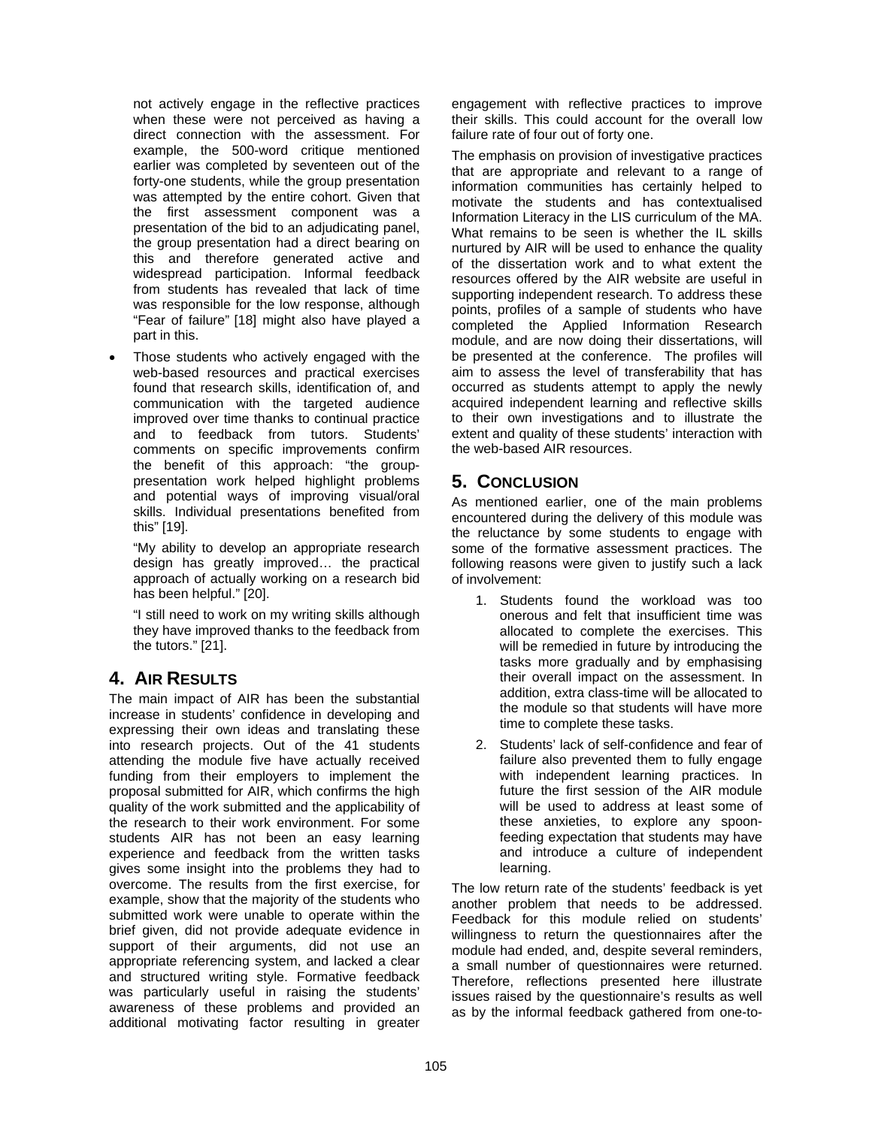not actively engage in the reflective practices when these were not perceived as having a direct connection with the assessment. For example, the 500-word critique mentioned earlier was completed by seventeen out of the forty-one students, while the group presentation was attempted by the entire cohort. Given that the first assessment component was a presentation of the bid to an adjudicating panel, the group presentation had a direct bearing on this and therefore generated active and widespread participation. Informal feedback from students has revealed that lack of time was responsible for the low response, although "Fear of failure" [18] might also have played a part in this.

Those students who actively engaged with the web-based resources and practical exercises found that research skills, identification of, and communication with the targeted audience improved over time thanks to continual practice and to feedback from tutors. Students' comments on specific improvements confirm the benefit of this approach: "the grouppresentation work helped highlight problems and potential ways of improving visual/oral skills. Individual presentations benefited from this" [19].

"My ability to develop an appropriate research design has greatly improved… the practical approach of actually working on a research bid has been helpful." [20].

"I still need to work on my writing skills although they have improved thanks to the feedback from the tutors." [21].

# **4. AIR RESULTS**

The main impact of AIR has been the substantial increase in students' confidence in developing and expressing their own ideas and translating these into research projects. Out of the 41 students attending the module five have actually received funding from their employers to implement the proposal submitted for AIR, which confirms the high quality of the work submitted and the applicability of the research to their work environment. For some students AIR has not been an easy learning experience and feedback from the written tasks gives some insight into the problems they had to overcome. The results from the first exercise, for example, show that the majority of the students who submitted work were unable to operate within the brief given, did not provide adequate evidence in support of their arguments, did not use an appropriate referencing system, and lacked a clear and structured writing style. Formative feedback was particularly useful in raising the students' awareness of these problems and provided an additional motivating factor resulting in greater

engagement with reflective practices to improve their skills. This could account for the overall low failure rate of four out of forty one.

The emphasis on provision of investigative practices that are appropriate and relevant to a range of information communities has certainly helped to motivate the students and has contextualised Information Literacy in the LIS curriculum of the MA. What remains to be seen is whether the IL skills nurtured by AIR will be used to enhance the quality of the dissertation work and to what extent the resources offered by the AIR website are useful in supporting independent research. To address these points, profiles of a sample of students who have completed the Applied Information Research module, and are now doing their dissertations, will be presented at the conference. The profiles will aim to assess the level of transferability that has occurred as students attempt to apply the newly acquired independent learning and reflective skills to their own investigations and to illustrate the extent and quality of these students' interaction with the web-based AIR resources.

# **5. CONCLUSION**

As mentioned earlier, one of the main problems encountered during the delivery of this module was the reluctance by some students to engage with some of the formative assessment practices. The following reasons were given to justify such a lack of involvement:

- 1. Students found the workload was too onerous and felt that insufficient time was allocated to complete the exercises. This will be remedied in future by introducing the tasks more gradually and by emphasising their overall impact on the assessment. In addition, extra class-time will be allocated to the module so that students will have more time to complete these tasks.
- 2. Students' lack of self-confidence and fear of failure also prevented them to fully engage with independent learning practices. In future the first session of the AIR module will be used to address at least some of these anxieties, to explore any spoonfeeding expectation that students may have and introduce a culture of independent learning.

The low return rate of the students' feedback is yet another problem that needs to be addressed. Feedback for this module relied on students' willingness to return the questionnaires after the module had ended, and, despite several reminders, a small number of questionnaires were returned. Therefore, reflections presented here illustrate issues raised by the questionnaire's results as well as by the informal feedback gathered from one-to